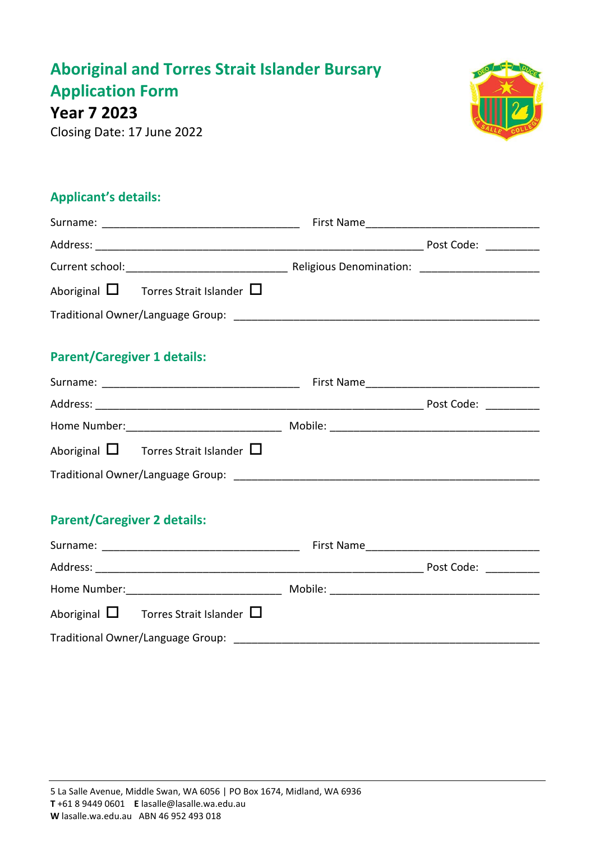# **Aboriginal and Torres Strait Islander Bursary Application Form**

**Year 7 2023**

Closing Date: 17 June 2022



### **Applicant's details:**

| Aboriginal $\square$ Torres Strait Islander $\square$ |  |  |  |  |
|-------------------------------------------------------|--|--|--|--|
|                                                       |  |  |  |  |
| <b>Parent/Caregiver 1 details:</b>                    |  |  |  |  |
|                                                       |  |  |  |  |
|                                                       |  |  |  |  |
| Aboriginal $\square$ Torres Strait Islander $\square$ |  |  |  |  |
|                                                       |  |  |  |  |
|                                                       |  |  |  |  |
|                                                       |  |  |  |  |

### **Parent/Caregiver 2 details:**

| Surname:     |                                                       | First Name |            |
|--------------|-------------------------------------------------------|------------|------------|
| Address:     |                                                       |            | Post Code: |
| Home Number: |                                                       | Mobile:    |            |
|              | Aboriginal $\square$ Torres Strait Islander $\square$ |            |            |
|              | Traditional Owner/Language Group:                     |            |            |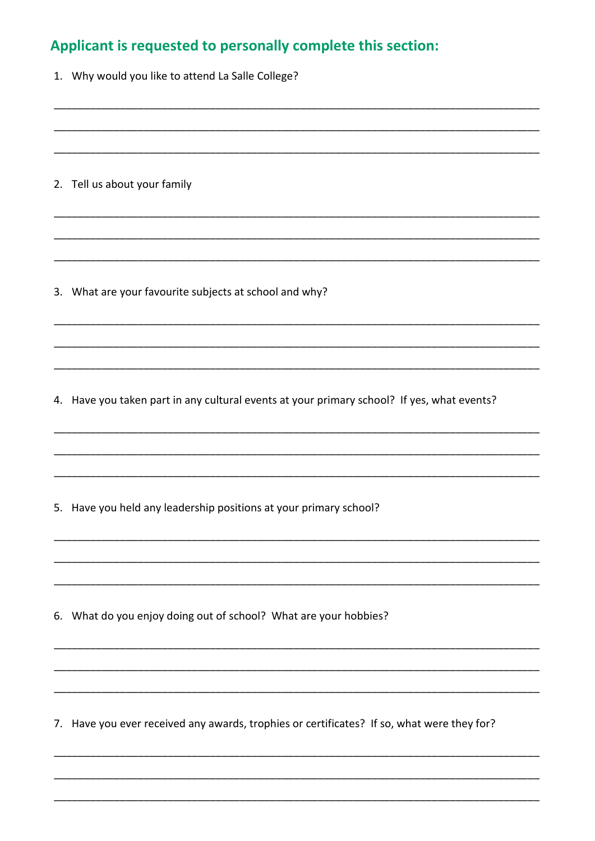### Applicant is requested to personally complete this section:

1. Why would you like to attend La Salle College?

2. Tell us about your family

3. What are your favourite subjects at school and why?

4. Have you taken part in any cultural events at your primary school? If yes, what events?

5. Have you held any leadership positions at your primary school?

6. What do you enjoy doing out of school? What are your hobbies?

7. Have you ever received any awards, trophies or certificates? If so, what were they for?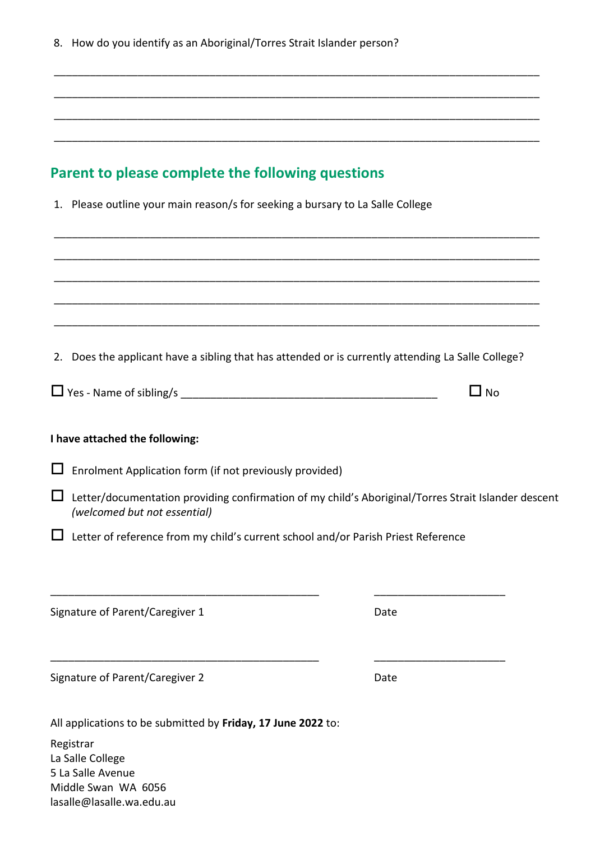| 8. How do you identify as an Aboriginal/Torres Strait Islander person?                                                              |              |  |  |  |
|-------------------------------------------------------------------------------------------------------------------------------------|--------------|--|--|--|
|                                                                                                                                     |              |  |  |  |
|                                                                                                                                     |              |  |  |  |
|                                                                                                                                     |              |  |  |  |
| Parent to please complete the following questions                                                                                   |              |  |  |  |
| 1. Please outline your main reason/s for seeking a bursary to La Salle College                                                      |              |  |  |  |
|                                                                                                                                     |              |  |  |  |
|                                                                                                                                     |              |  |  |  |
| 2. Does the applicant have a sibling that has attended or is currently attending La Salle College?                                  |              |  |  |  |
|                                                                                                                                     | $\square$ No |  |  |  |
| I have attached the following:                                                                                                      |              |  |  |  |
| Enrolment Application form (if not previously provided)                                                                             |              |  |  |  |
| Letter/documentation providing confirmation of my child's Aboriginal/Torres Strait Islander descent<br>(welcomed but not essential) |              |  |  |  |
| Letter of reference from my child's current school and/or Parish Priest Reference                                                   |              |  |  |  |
|                                                                                                                                     |              |  |  |  |
| Signature of Parent/Caregiver 1                                                                                                     | Date         |  |  |  |
| Signature of Parent/Caregiver 2                                                                                                     | Date         |  |  |  |
| All applications to be submitted by Friday, 17 June 2022 to:                                                                        |              |  |  |  |
| Registrar<br>La Salle College<br>5 La Salle Avenue<br>Middle Swan WA 6056<br>lasalle@lasalle.wa.edu.au                              |              |  |  |  |